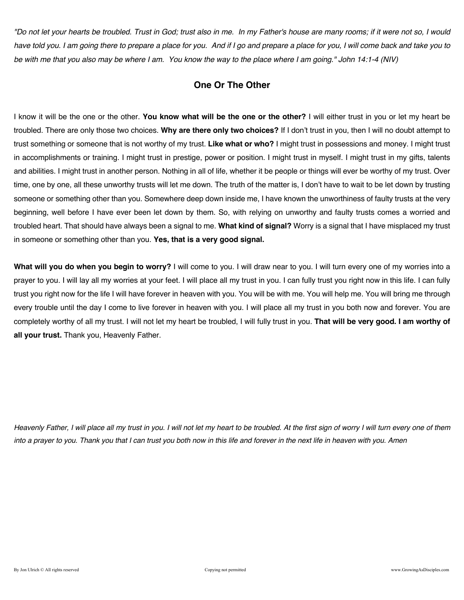*"Do not let your hearts be troubled. Trust in God; trust also in me. In my Father's house are many rooms; if it were not so, I would have told you. I am going there to prepare a place for you. And if I go and prepare a place for you, I will come back and take you to be with me that you also may be where I am. You know the way to the place where I am going." John 14:1-4 (NIV)* 

## **One Or The Other**

I know it will be the one or the other. **You know what will be the one or the other?** I will either trust in you or let my heart be troubled. There are only those two choices. **Why are there only two choices?** If I don't trust in you, then I will no doubt attempt to trust something or someone that is not worthy of my trust. **Like what or who?** I might trust in possessions and money. I might trust in accomplishments or training. I might trust in prestige, power or position. I might trust in myself. I might trust in my gifts, talents and abilities. I might trust in another person. Nothing in all of life, whether it be people or things will ever be worthy of my trust. Over time, one by one, all these unworthy trusts will let me down. The truth of the matter is, I don't have to wait to be let down by trusting someone or something other than you. Somewhere deep down inside me, I have known the unworthiness of faulty trusts at the very beginning, well before I have ever been let down by them. So, with relying on unworthy and faulty trusts comes a worried and troubled heart. That should have always been a signal to me. **What kind of signal?** Worry is a signal that I have misplaced my trust in someone or something other than you. **Yes, that is a very good signal.**

**What will you do when you begin to worry?** I will come to you. I will draw near to you. I will turn every one of my worries into a prayer to you. I will lay all my worries at your feet. I will place all my trust in you. I can fully trust you right now in this life. I can fully trust you right now for the life I will have forever in heaven with you. You will be with me. You will help me. You will bring me through every trouble until the day I come to live forever in heaven with you. I will place all my trust in you both now and forever. You are completely worthy of all my trust. I will not let my heart be troubled, I will fully trust in you. **That will be very good. I am worthy of all your trust.** Thank you, Heavenly Father.

*Heavenly Father, I will place all my trust in you. I will not let my heart to be troubled. At the first sign of worry I will turn every one of them into a prayer to you. Thank you that I can trust you both now in this life and forever in the next life in heaven with you. Amen*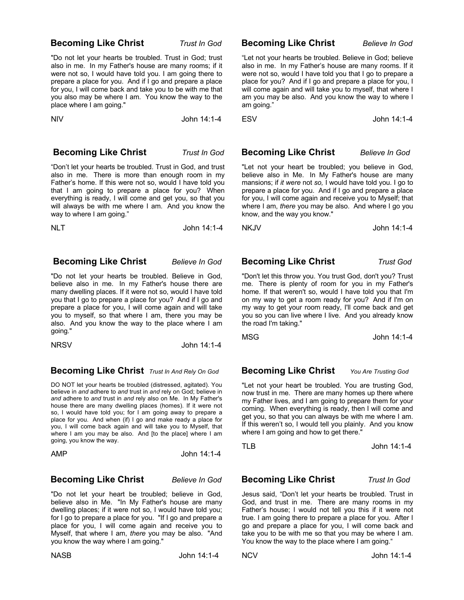### **Becoming Like Christ** *Trust In God*

"Do not let your hearts be troubled. Trust in God; trust also in me. In my Father's house are many rooms; if it were not so, I would have told you. I am going there to prepare a place for you. And if I go and prepare a place for you, I will come back and take you to be with me that you also may be where I am. You know the way to the place where I am going."

NIV John 14:1-4

### **Becoming Like Christ** *Trust In God*

"Don't let your hearts be troubled. Trust in God, and trust also in me. There is more than enough room in my Father's home. If this were not so, would I have told you that I am going to prepare a place for you? When everything is ready, I will come and get you, so that you will always be with me where I am. And you know the way to where I am going."

NLT John 14:1-4

### **Becoming Like Christ** *Believe In God*

"Do not let your hearts be troubled. Believe in God, believe also in me. In my Father's house there are many dwelling places. If it were not so, would I have told you that I go to prepare a place for you? And if I go and prepare a place for you, I will come again and will take you to myself, so that where I am, there you may be also. And you know the way to the place where I am going."

NRSV John 14:1-4

## **Becoming Like Christ** *Trust In And Rely On God*

DO NOT let your hearts be troubled (distressed, agitated). You believe in *and* adhere to *and* trust in *and* rely on God; believe in *and* adhere to *and* trust in *and* rely also on Me. In My Father's house there are many dwelling places (homes). If it were not so, I would have told you; for I am going away to prepare a place for you. And when (if) I go and make ready a place for you, I will come back again and will take you to Myself, that where I am you may be also. And [to the place] where I am going, you know the way.

AMP John 14:1-4

### **Becoming Like Christ** *Believe In God*

"Do not let your heart be troubled; believe in God, believe also in Me. "In My Father's house are many dwelling places; if it were not so, I would have told you; for I go to prepare a place for you. "If I go and prepare a place for you, I will come again and receive you to Myself, that where I am, *there* you may be also. "And you know the way where I am going."

### **Becoming Like Christ** *Believe In God*

"Let not your hearts be troubled. Believe in God; believe also in me. In my Father's house are many rooms. If it were not so, would I have told you that I go to prepare a place for you? And if I go and prepare a place for you, I will come again and will take you to myself, that where I am you may be also. And you know the way to where I am going."

ESV John 14:1-4

### **Becoming Like Christ** *Believe In God*

"Let not your heart be troubled; you believe in God, believe also in Me. In My Father's house are many mansions; if *it were* not *so,* I would have told you. I go to prepare a place for you. And if I go and prepare a place for you, I will come again and receive you to Myself; that where I am, *there* you may be also. And where I go you know, and the way you know."

NKJV John 14:1-4

### **Becoming Like Christ** *Trust God*

"Don't let this throw you. You trust God, don't you? Trust me. There is plenty of room for you in my Father's home. If that weren't so, would I have told you that I'm on my way to get a room ready for you? And if I'm on my way to get your room ready, I'll come back and get you so you can live where I live. And you already know the road I'm taking."

MSG John 14:1-4

## **Becoming Like Christ** *You Are Trusting God*

"Let not your heart be troubled. You are trusting God, now trust in me. There are many homes up there where my Father lives, and I am going to prepare them for your coming. When everything is ready, then I will come and get you, so that you can always be with me where I am. If this weren't so, I would tell you plainly. And you know where I am going and how to get there."

TLB John 14:1-4

### **Becoming Like Christ** *Trust In God*

Jesus said, "Don't let your hearts be troubled. Trust in God, and trust in me. There are many rooms in my Father's house; I would not tell you this if it were not true. I am going there to prepare a place for you. After I go and prepare a place for you, I will come back and take you to be with me so that you may be where I am. You know the way to the place where I am going."

NCV John 14:1-4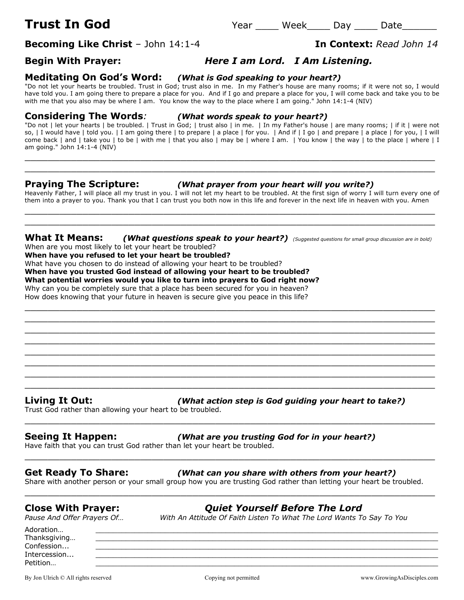**Becoming Like Christ** – John 14:1-4 **In Context:** *Read John 14*

## **Begin With Prayer:** *Here I am Lord. I Am Listening.*

### **Meditating On God's Word:** *(What is God speaking to your heart?)*

"Do not let your hearts be troubled. Trust in God; trust also in me. In my Father's house are many rooms; if it were not so, I would have told you. I am going there to prepare a place for you. And if I go and prepare a place for you, I will come back and take you to be with me that you also may be where I am. You know the way to the place where I am going." John 14:1-4 (NIV)

### **Considering The Words***: (What words speak to your heart?)*

"Do not | let your hearts | be troubled. | Trust in God; | trust also | in me. | In my Father's house | are many rooms; | if it | were not so, | I would have | told you. | I am going there | to prepare | a place | for you. | And if | I go | and prepare | a place | for you, | I will come back | and | take you | to be | with me | that you also | may be | where I am. | You know | the way | to the place | where | I am going." John 14:1-4 (NIV)

 $\_$  , and the contribution of the contribution of  $\mathcal{L}$  , and  $\mathcal{L}$  , and  $\mathcal{L}$  , and  $\mathcal{L}$  , and  $\mathcal{L}$  , and  $\mathcal{L}$  , and  $\mathcal{L}$  , and  $\mathcal{L}$  , and  $\mathcal{L}$  , and  $\mathcal{L}$  , and  $\mathcal{L}$  , and  $\mathcal{L$ \_\_\_\_\_\_\_\_\_\_\_\_\_\_\_\_\_\_\_\_\_\_\_\_\_\_\_\_\_\_\_\_\_\_\_\_\_\_\_\_\_\_\_\_\_\_\_\_\_\_\_\_\_\_\_\_\_\_\_\_\_\_\_\_\_\_\_\_\_\_\_

### **Praying The Scripture:** *(What prayer from your heart will you write?)*

Heavenly Father, I will place all my trust in you. I will not let my heart to be troubled. At the first sign of worry I will turn every one of them into a prayer to you. Thank you that I can trust you both now in this life and forever in the next life in heaven with you. Amen  $\_$  . The contribution of the contribution of  $\mathcal{L}_1$  ,  $\mathcal{L}_2$  ,  $\mathcal{L}_3$  ,  $\mathcal{L}_4$  ,  $\mathcal{L}_5$  ,  $\mathcal{L}_6$  ,  $\mathcal{L}_7$  ,  $\mathcal{L}_8$  ,  $\mathcal{L}_9$  ,  $\mathcal{L}_1$  ,  $\mathcal{L}_2$  ,  $\mathcal{L}_3$  ,  $\mathcal{L}_5$  ,  $\mathcal{L}_6$  ,  $\mathcal{L}_$ 

 $\_$  , and the set of the set of the set of the set of the set of the set of the set of the set of the set of the set of the set of the set of the set of the set of the set of the set of the set of the set of the set of th

 $\_$  , and the contribution of the contribution of  $\mathcal{L}$  , and  $\mathcal{L}$  , and  $\mathcal{L}$  , and  $\mathcal{L}$  , and  $\mathcal{L}$  , and  $\mathcal{L}$  , and  $\mathcal{L}$  , and  $\mathcal{L}$  , and  $\mathcal{L}$  , and  $\mathcal{L}$  , and  $\mathcal{L}$  , and  $\mathcal{L$ \_\_\_\_\_\_\_\_\_\_\_\_\_\_\_\_\_\_\_\_\_\_\_\_\_\_\_\_\_\_\_\_\_\_\_\_\_\_\_\_\_\_\_\_\_\_\_\_\_\_\_\_\_\_\_\_\_\_\_\_\_\_\_\_\_\_\_\_\_\_\_  $\_$  , and the contribution of the contribution of  $\mathcal{L}$  , and  $\mathcal{L}$  , and  $\mathcal{L}$  , and  $\mathcal{L}$  , and  $\mathcal{L}$  , and  $\mathcal{L}$  , and  $\mathcal{L}$  , and  $\mathcal{L}$  , and  $\mathcal{L}$  , and  $\mathcal{L}$  , and  $\mathcal{L}$  , and  $\mathcal{L$  $\_$  . The contribution of the contribution of  $\mathcal{L}_1$  ,  $\mathcal{L}_2$  ,  $\mathcal{L}_3$  ,  $\mathcal{L}_4$  ,  $\mathcal{L}_5$  ,  $\mathcal{L}_6$  ,  $\mathcal{L}_7$  ,  $\mathcal{L}_8$  ,  $\mathcal{L}_9$  ,  $\mathcal{L}_1$  ,  $\mathcal{L}_2$  ,  $\mathcal{L}_3$  ,  $\mathcal{L}_5$  ,  $\mathcal{L}_6$  ,  $\mathcal{L}_$ \_\_\_\_\_\_\_\_\_\_\_\_\_\_\_\_\_\_\_\_\_\_\_\_\_\_\_\_\_\_\_\_\_\_\_\_\_\_\_\_\_\_\_\_\_\_\_\_\_\_\_\_\_\_\_\_\_\_\_\_\_\_\_\_\_\_\_\_\_\_\_  $\_$  , and the contribution of the contribution of  $\mathcal{L}$  , and  $\mathcal{L}$  , and  $\mathcal{L}$  , and  $\mathcal{L}$  , and  $\mathcal{L}$  , and  $\mathcal{L}$  , and  $\mathcal{L}$  , and  $\mathcal{L}$  , and  $\mathcal{L}$  , and  $\mathcal{L}$  , and  $\mathcal{L}$  , and  $\mathcal{L$  $\_$  , and the contribution of the contribution of  $\mathcal{L}$  , and  $\mathcal{L}$  , and  $\mathcal{L}$  , and  $\mathcal{L}$  , and  $\mathcal{L}$  , and  $\mathcal{L}$  , and  $\mathcal{L}$  , and  $\mathcal{L}$  , and  $\mathcal{L}$  , and  $\mathcal{L}$  , and  $\mathcal{L}$  , and  $\mathcal{L$  $\_$  . The contribution of the contribution of  $\mathcal{L}_1$  ,  $\mathcal{L}_2$  ,  $\mathcal{L}_3$  ,  $\mathcal{L}_4$  ,  $\mathcal{L}_5$  ,  $\mathcal{L}_6$  ,  $\mathcal{L}_7$  ,  $\mathcal{L}_8$  ,  $\mathcal{L}_9$  ,  $\mathcal{L}_1$  ,  $\mathcal{L}_2$  ,  $\mathcal{L}_3$  ,  $\mathcal{L}_5$  ,  $\mathcal{L}_6$  ,  $\mathcal{L}_$ 

### **What It Means:** *(What questions speak to your heart?) (Suggested questions for small group discussion are in bold)* When are you most likely to let your heart be troubled?

**When have you refused to let your heart be troubled?**

What have you chosen to do instead of allowing your heart to be troubled?

**When have you trusted God instead of allowing your heart to be troubled?**

### **What potential worries would you like to turn into prayers to God right now?**

Why can you be completely sure that a place has been secured for you in heaven?

How does knowing that your future in heaven is secure give you peace in this life?

**Living It Out:** *(What action step is God guiding your heart to take?)*

Trust God rather than allowing your heart to be troubled.

## **Seeing It Happen:** *(What are you trusting God for in your heart?)*

Have faith that you can trust God rather than let your heart be troubled. \_\_\_\_\_\_\_\_\_\_\_\_\_\_\_\_\_\_\_\_\_\_\_\_\_\_\_\_\_\_\_\_\_\_\_\_\_\_\_\_\_\_\_\_\_\_\_\_\_\_\_\_\_\_\_\_\_\_\_\_\_\_\_\_\_\_\_\_\_\_\_

## **Get Ready To Share:** *(What can you share with others from your heart?)*

Share with another person or your small group how you are trusting God rather than letting your heart be troubled.

\_\_\_\_\_\_\_\_\_\_\_\_\_\_\_\_\_\_\_\_\_\_\_\_\_\_\_\_\_\_\_\_\_\_\_\_\_\_\_\_\_\_\_\_\_\_\_\_\_\_\_\_\_\_\_\_\_\_\_\_\_\_\_\_\_\_\_\_\_\_\_

\_\_\_\_\_\_\_\_\_\_\_\_\_\_\_\_\_\_\_\_\_\_\_\_\_\_\_\_\_\_\_\_\_\_\_\_\_\_\_\_\_\_\_\_\_\_\_\_\_\_\_\_\_\_\_\_\_\_\_\_\_\_\_\_\_\_\_\_\_\_\_

**Close With Prayer:** *Quiet Yourself Before The Lord*

*Pause And Offer Prayers Of… With An Attitude Of Faith Listen To What The Lord Wants To Say To You*

Adoration… \_\_\_\_\_\_\_\_\_\_\_\_\_\_\_\_\_\_\_\_\_\_\_\_\_\_\_\_\_\_\_\_\_\_\_\_\_\_\_\_\_\_\_\_\_\_\_\_\_\_\_\_\_\_\_\_\_\_\_\_\_\_\_\_\_\_\_\_\_\_\_\_\_\_\_\_\_\_\_ Thanksgiving...  $\textsf{Confession...}\qquad \qquad \underline{\hspace{2.5cm}}$ Intercession... \_\_\_\_\_\_\_\_\_\_\_\_\_\_\_\_\_\_\_\_\_\_\_\_\_\_\_\_\_\_\_\_\_\_\_\_\_\_\_\_\_\_\_\_\_\_\_\_\_\_\_\_\_\_\_\_\_\_\_\_\_\_\_\_\_\_\_\_\_\_\_\_\_\_\_\_\_\_\_ Petition… \_\_\_\_\_\_\_\_\_\_\_\_\_\_\_\_\_\_\_\_\_\_\_\_\_\_\_\_\_\_\_\_\_\_\_\_\_\_\_\_\_\_\_\_\_\_\_\_\_\_\_\_\_\_\_\_\_\_\_\_\_\_\_\_\_\_\_\_\_\_\_\_\_\_\_\_\_\_\_